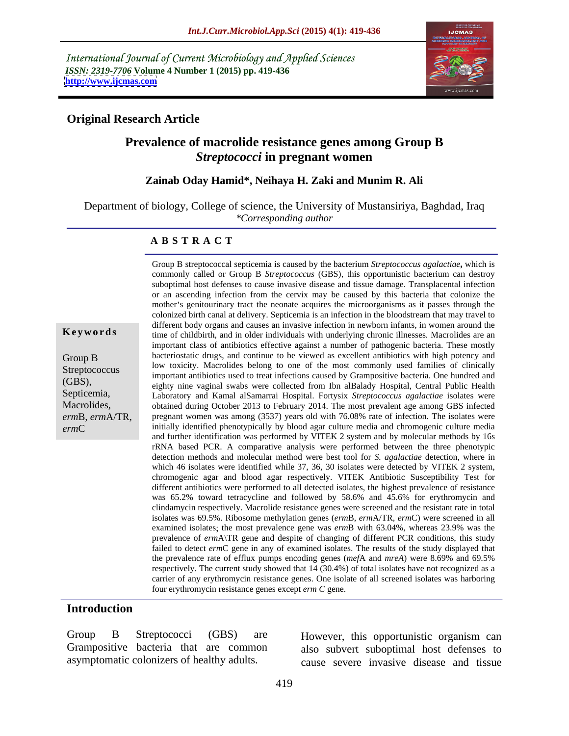International Journal of Current Microbiology and Applied Sciences *ISSN: 2319-7706* **Volume 4 Number 1 (2015) pp. 419-436 <http://www.ijcmas.com>**



### **Original Research Article**

## **Prevalence of macrolide resistance genes among Group B**  *Streptococci* **in pregnant women**

**Zainab Oday Hamid\*, Neihaya H. Zaki and Munim R. Ali**

Department of biology, College of science, the University of Mustansiriya, Baghdad, Iraq *\*Corresponding author* 

### **A B S T R A C T**

(GBS), Septicemia, Macrolides, *erm*B*, erm*A/TR*, erm*C

Group B streptococcal septicemia is caused by the bacterium *Streptococcus agalactiae***,** which is commonly called or Group B *Streptococcus* (GBS), this opportunistic bacterium can destroy suboptimal host defenses to cause invasive disease and tissue damage. Transplacental infection or an ascending infection from the cervix may be caused by this bacteria that colonize the mother's genitourinary tract the neonate acquires the microorganisms as it passes through the colonized birth canal at delivery. Septicemia is an infection in the bloodstream that may travel to different body organs and causes an invasive infection in newborn infants, in women around the time of childbirth, and in older individuals with underlying chronic illnesses. Macrolides are an **Ke ywo rds** important class of antibiotics effective against a number of pathogenic bacteria. These mostly bacteriostatic drugs, and continue to be viewed as excellent antibiotics with high potency and Group B low toxicity. Macrolides belong to one of the most commonly used families of clinically Streptococcus<br>
important antibiotics used to treat infections caused by Grampositive bacteria. One hundred and<br>
Streptococcus<br>
important antibiotics used to treat infections caused by Grampositive bacteria. One hundred and eighty nine vaginal swabs were collected from Ibn alBalady Hospital, Central Public Health Laboratory and Kamal alSamarrai Hospital. Fortysix *Streptococcusagalactiae* isolates were obtained during October 2013 to February 2014. The most prevalent age among GBS infected pregnant women was among (3537) years old with 76.08% rate of infection. The isolates were initially identified phenotypically by blood agar culture mediaand chromogenic culture media and further identification was performed by VITEK 2 system and by molecular methods by 16s rRNA based PCR. A comparative analysis were performed between the three phenotypic detection methods and molecular method were best tool for *S. agalactiae* detection, where in which 46 isolates were identified while 37, 36, 30 isolates were detected by VITEK 2 system, chromogenic agar and blood agar respectively. VITEK Antibiotic Susceptibility Test for different antibiotics were performed to all detected isolates, the highest prevalence of resistance was 65.2% toward tetracycline and followed by 58.6% and 45.6% for erythromycin and clindamycin respectively. Macrolide resistance genes were screened and the resistant rate in total isolates was 69.5%. Ribosome methylation genes (*erm*B, *erm*A/TR, *erm*C) were screened in all examined isolates; the most prevalence gene was *erm*B with 63.04%, whereas 23.9% was the prevalence of *erm*A\TR gene and despite of changing of different PCR conditions, this study failed to detect *erm*C gene in any of examined isolates. The results of the study displayed that the prevalence rate of efflux pumps encoding genes (*mef*A and *mreA*) were 8.69% and 69.5% respectively. The current study showed that 14 (30.4%) of total isolates have not recognized as a carrier of any erythromycin resistance genes. One isolate of all screened isolates was harboring four erythromycin resistance genes except *erm C* gene.

### **Introduction**

Group B Streptococci (GBS) are However, this opportunistic organism can

Grampositive bacteria that are common also subvert suboptimal host defenses to asymptomatic colonizers of healthy adults. cause severe invasive disease and tissue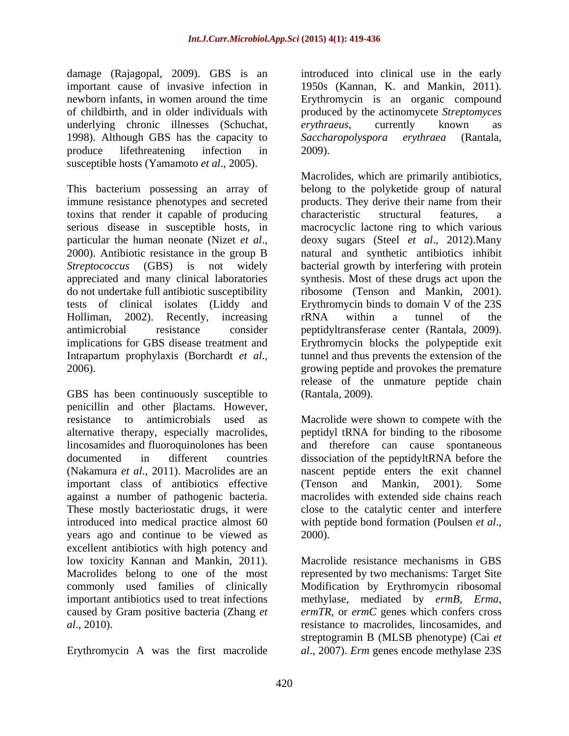damage (Rajagopal, 2009). GBS is an important cause of invasive infection in 1950s (Kannan, K. and Mankin, 2011). newborn infants, in women around the time Erythromycin is an organic compound of childbirth, and in older individuals with produced by the actinomycete *Streptomyces*  underlying chronic illnesses (Schuchat, erythraeus, currently known as 1998). Although GBS has the capacity to Saccharopolyspora erythraea (Rantala, produce lifethreatening infection in 2009). susceptible hosts (Yamamoto *et al*., 2005).

immune resistance phenotypes and secreted products. They derive their name from their toxins that render it capable of producing

GBS has been continuously susceptible to penicillin and other Blactams. However, resistance to antimicrobials used as Macrolide were shown to compete with the alternative therapy, especially macrolides, peptidyl tRNA for binding to the ribosome lincosamides and fluoroquinolones has been and therefore can cause spontaneous documented in different countries dissociation of the peptidyltRNA before the (Nakamura *et al*., 2011). Macrolides are an nascent peptide enters the exit channel important class of antibiotics effective (Tenson and Mankin, 2001). Some against a number of pathogenic bacteria. These mostly bacteriostatic drugs, it were introduced into medical practice almost 60 with peptide bond formation (Poulsen *et al.*, years ago and continue to be viewed as excellent antibiotics with high potency and low toxicity Kannan and Mankin, 2011). Macrolides belong to one of the most commonly used families of clinically Modification by Erythromycin ribosomal important antibiotics used to treat infections methylase, mediated by *ermB*, *Erma*, caused by Gram positive bacteria (Zhang *et ermTR*, or *ermC* genes which confers cross

Erythromycin A was the first macrolide *al*., 2007). *Erm* genes encode methylase 23S

introduced into clinical use in the early *erythraeus*, currently known as *Saccharopolyspora erythraea* (Rantala, 2009).

This bacterium possessing an array of belong to the polyketide group of natural serious disease in susceptible hosts, in macrocyclic lactone ring to which various particular the human neonate (Nizet *et al.*, deoxy sugars (Steel *et al.*, 2012). Many 2000). Antibiotic resistance in the group B atural and synthetic antibiotics inhibit *Streptococcus* (GBS) is not widely bacterial growth by interfering with protein appreciated and many clinical laboratories synthesis. Most of these drugs act upon the do not undertake full antibiotic susceptibility ribosome (Tenson and Mankin, 2001). tests of clinical isolates (Liddy and Erythromycin binds to domain V of the 23S Holliman, 2002). Recently, increasing rRNA within a tunnel of the antimicrobial resistance consider peptidyltransferase center (Rantala, 2009). implications for GBS disease treatment and Erythromycin blocks the polypeptide exit Intrapartum prophylaxis (Borchardt *et al.*, tunnel and thus prevents the extension of the growing peptide and provokes the premature Macrolides, which are primarily antibiotics, products. They derive their name from their characteristic structural features, a deoxy sugars (Steel *et al*., 2012).Many natural and synthetic antibiotics inhibit rRNA within a tunnel of the tunnel and thus prevents the extension of the growing peptide and provokes the premature release of the unmature peptide chain (Rantala, 2009).

> (Tenson and Mankin, 2001). Some macrolides with extended side chains reach close to the catalytic center and interfere with peptide bond formation (Poulsen *et al*., 2000).

*al*., 2010). resistance to macrolides, lincosamides, and Macrolide resistance mechanisms in GBS represented by two mechanisms: Target Site streptogramin B (MLSB phenotype) (Cai *et*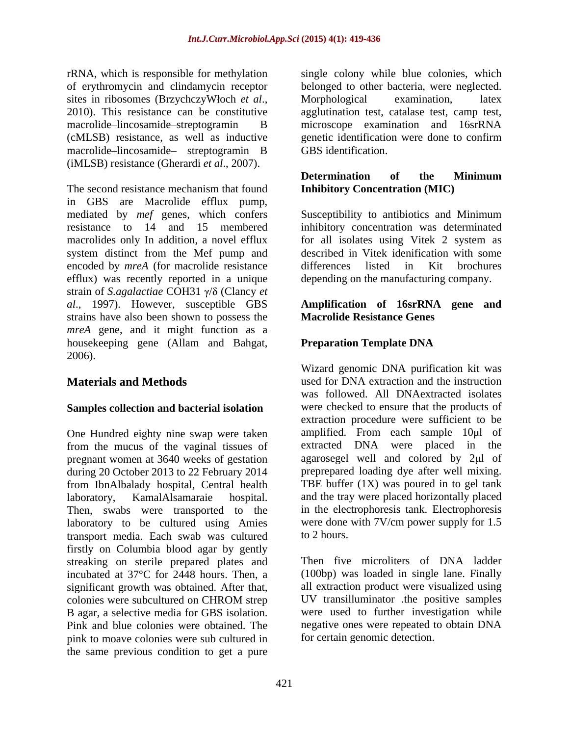of erythromycin and clindamycin receptor macrolide-lincosamide- streptogramin B (iMLSB) resistance (Gherardi *et al*., 2007).

The second resistance mechanism that found **Inhibitory Concentration (MIC)** in GBS are Macrolide efflux pump, mediated by *mef* genes, which confers Susceptibility to antibiotics and Minimum resistance to 14 and 15 membered inhibitory concentration was determinated macrolides only In addition, a novel efflux for all isolates using Vitek 2 system as system distinct from the Mef pump and encoded by *mreA* (for macrolide resistance differences listed in Kit brochures efflux) was recently reported in a unique depending on the manufacturing company. strain of *S.agalactiae* COH31  $\gamma$ / $\delta$  (Clancy *et al.*, 1997). However, susceptible GBS *al*., 1997). However, susceptible GBS **Amplification of 16srRNA gene and** strains have also been shown to possess the *mreA* gene, and it might function as a housekeeping gene (Allam and Bahgat, Preparation Template DNA 2006).

### **Samples collection and bacterial isolation**

One Hundred eighty nine swap were taken from the mucus of the vaginal tissues of pregnant women at 3640 weeks of gestation during 20 October 2013 to 22 February 2014 from IbnAlbalady hospital, Central health laboratory, KamalAlsamaraie hospital. and the tray were placed horizontally placed Then, swabs were transported to the laboratory to be cultured using Amies were done<br>transport media Each swab was cultured to 2 hours. transport media. Each swab was cultured firstly on Columbia blood agar by gently streaking on sterile prepared plates and incubated at 37°C for 2448 hours. Then, a significant growth was obtained. After that, pink to moave colonies were sub cultured in the same previous condition to get a pure

rRNA, which is responsible for methylation single colony while blue colonies, which sites in ribosomes (BrzychczyWłoch *et al*., Morphological examination, latex 2010). This resistance can be constitutive agglutination test, catalase test, camp test, macrolide lincosamide streptogramin B microscope examination and 16srRNA (cMLSB) resistance, as well as inductive genetic identification were done to confirm belonged to other bacteria, were neglected. Morphological examination, latex agglutination test, catalase test, camp test, GBS identification.

### **Determination of the Minimum Inhibitory Concentration (MIC)**

described in Vitek idenification with some differences listed in Kit brochures

# **Macrolide Resistance Genes**

## **Preparation Template DNA**

**Materials and Methods** used for DNA extraction and the instruction Wizard genomic DNA purification kit was was followed. All DNAextracted isolates were checked to ensure that the products of extraction procedure were sufficient to be amplified. From each sample  $10\mu l$  of extracted DNA were placed in the agarosegel well and colored by 2µl of preprepared loading dye after well mixing. TBE buffer (1X) was poured in to gel tank in the electrophoresis tank. Electrophoresis were done with 7V/cm power supply for 1.5 to 2 hours.

colonies were subcultured on CHROM strep B agar, a selective media for GBS isolation. were used to further investigation while Pink and blue colonies were obtained. The negative ones were repeated to obtain DNA Then five microliters of DNA ladder (100bp) was loaded in single lane. Finally all extraction product were visualized using UV transilluminator .the positive samples for certain genomic detection.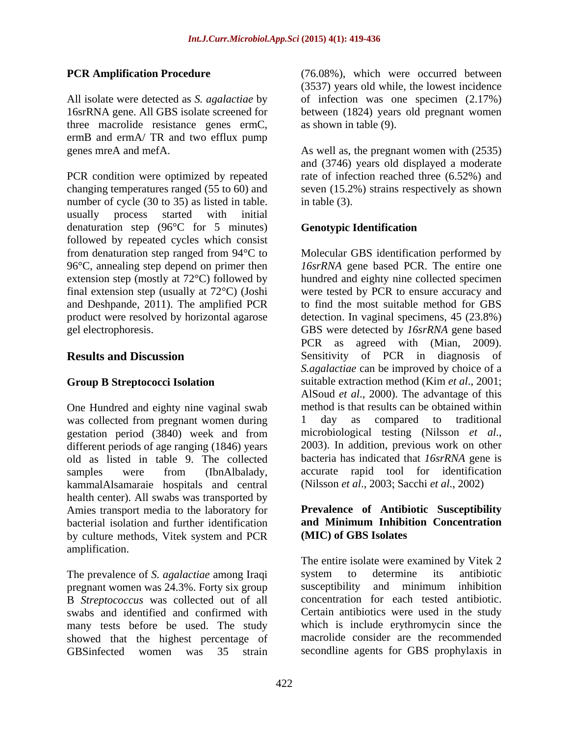All isolate were detected as *S. agalactiae* by three macrolide resistance genes ermC, ermB and ermA/ TR and two efflux pump

PCR condition were optimized by repeated changing temperatures ranged (55 to 60) and seven (15.2%) strains respectively as shown number of cycle (30 to 35) as listed in table. in table (3). usually process started with initial denaturation step (96°C for 5 minutes) Genotypic Identification followed by repeated cycles which consist 96°C, annealing step depend on primer then

One Hundred and eighty nine vaginal swab method is that results can be obtained within<br>was collected from pregnant women during and day as compared to traditional was collected from pregnant women during 1 gestation period (3840) week and from microbiological testing (Nilsson *et al.*, different periods of age ranging (1846) years 2003). In addition, previous work on other different periods of age ranging (1846) years old as listed in table 9. The collected samples were from (IbnAlbalady, kammalAlsamaraie hospitals and central health center). All swabs was transported by Amies transport media to the laboratory for<br> **Prevalence of Antibiotic Susceptibility**<br> **hacterial isolation and further identification**<br> **and Minimum Inhibition Concentration** bacterial isolation and further identification by culture methods, Vitek system and PCR amplification.

The prevalence of *S. agalactiae* among Iraqi system to determine its antibiotic pregnant women was 24.3%. Forty six group susceptibility and minimum inhibition pregnant women was 24.3%. Forty six group B *Streptococcus* was collected out of all swabs and identified and confirmed with many tests before be used. The study showed that the highest percentage of GBSinfected women was 35 strain secondline agents for GBS prophylaxis in

**PCR Amplification Procedure** (76.08%), which were occurred between 16srRNA gene. All GBS isolate screened for between (1824) years old pregnant women (3537) years old while, the lowest incidence of infection was one specimen (2.17%) as shown in table (9).

genes mreA and mefA. As well as, the pregnant women with (2535) and (3746) years old displayed a moderate rate of infection reached three (6.52%) and in table (3).

### **Genotypic Identification**

from denaturation step ranged from 94°C to Molecular GBS identification performed by extension step (mostly at 72°C) followed by hundred and eighty nine collected specimen final extension step (usually at 72°C) (Joshi were tested by PCR to ensure accuracy and and Deshpande, 2011). The amplified PCR to find the most suitable method for GBS product were resolved by horizontal agarose detection. In vaginal specimens,45 (23.8%) gel electrophoresis. GBS were detected by *16srRNA* gene based **Results and Discussion** Sensitivity of PCR in diagnosis of Group B Streptococci Isolation suitable extraction method (Kim *et al.*, 2001; *16srRNA* gene based PCR. The entire one PCR as agreed with (Mian, 2009). *S.agalactiae* can be improved by choice of a AlSoud *et al*., 2000). The advantage of this method is that results can be obtained within 1 day as compared to traditional microbiological testing (Nilsson *et al*., 2003). In addition, previous work on other bacteria has indicated that *16srRNA* gene is accurate rapid tool for identification (Nilsson *et al*., 2003 Sacchi *et al*., 2002)

### **Prevalence of Antibiotic Susceptibility and Minimum Inhibition Concentration (MIC) of GBS Isolates**

The entire isolate were examined by Vitek 2 system to determine its antibiotic susceptibility and minimum inhibition concentration for each tested antibiotic. Certain antibiotics were used in the study which is include erythromycin since the macrolide consider are the recommended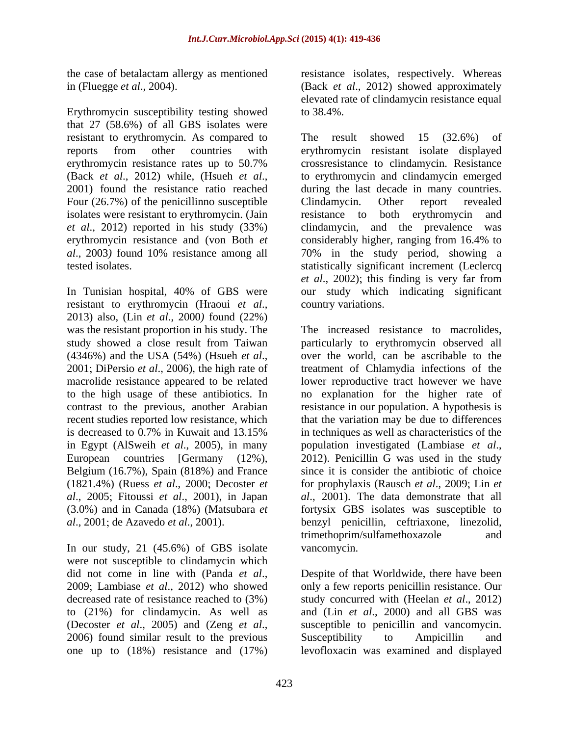Erythromycin susceptibility testing showed to 38.4%. that 27 (58.6%) of all GBS isolates were resistant to erythromycin. As compared to The result showed 15 (32.6%) of Four (26.7%) of the penicillinno susceptible Clindamycin. Other report revealed isolates were resistant to erythromycin. (Jain resistance to both erythromycin and *et al*., 2012) reported in his study (33%)

resistant to erythromycin (Hraoui *et al*., 2013) also, (Lin *et al*., <sup>2000</sup>*)* found (22%) macrolide resistance appeared to be related to the high usage of these antibiotics. In in Egypt (AlSweih *et al.*, 2005), in many population investigated (Lambiase *et al.*, European countries [Germany (12%), 2012). Penicillin G was used in the study Belgium (16.7%), Spain (818%) and France (1821.4%) (Ruess *et al*., 2000 Decoster *et* 

In our study, 21 (45.6%) of GBS isolate vancomycin. were not susceptible to clindamycin which to (21%) for clindamycin. As well as one up to (18%) resistance and (17%) levofloxacin was examined and displayed

the case of betalactam allergy as mentioned resistance isolates, respectively. Whereas in (Fluegge *et al*., 2004). (Back *et al*., 2012) showed approximately elevated rate of clindamycin resistance equal to 38.4%.

reports from other countries with erythromycin resistant isolate displayed erythromycin resistance rates up to 50.7% crossresistance to clindamycin. Resistance (Back *et al.*, 2012) while, (Hsueh *et al.*, to erythromycin and clindamycin emerged 2001) found the resistance ratio reached during the last decade in many countries. erythromycin resistance and (von Both *et*  considerably higher, ranging from 16.4% to *al*., 2003*)* found 10% resistance among all 70% in the study period, showing a tested isolates. statistically significant increment (Leclercq In Tunisian hospital, 40% of GBS were our study which indicating significant The result showed 15 (32.6%) of to erythromycin and clindamycin emerged during the last decade in many countries. Clindamycin. Other report revealed resistance to both erythromycin clindamycin, and the prevalence *et al.*, 2002); this finding is very far from country variations.

was the resistant proportion in his study. The The increased resistance to macrolides, study showed a close result from Taiwan particularly to erythromycin observed all (4346%) and the USA (54%) (Hsueh *et al.*, over the world, can be ascribable to the 2001; DiPersio *et al.*, 2006), the high rate of treatment of Chlamydia infections of the contrast to the previous, another Arabian resistance in our population. A hypothesis is recent studies reported low resistance, which that the variation may be due to differences is decreased to 0.7% in Kuwait and 13.15% in techniques as well as characteristics of the *al.*, 2005; Fitoussi *et al.*, 2001), in Japan *al.*, 2001). The data demonstrate that all (3.0%) and in Canada (18%) (Matsubara *et*  fortysix GBS isolates was susceptible to *al*., 2001; de Azavedo *et al.*, 2001). benzyl penicillin, ceftriaxone, linezolid, over the world, can be ascribable to the treatment of Chlamydia infections of the lower reproductive tract however we have no explanation for the higher rate of in techniques as well as characteristics of the population investigated (Lambiase *et al*., 2012). Penicillin <sup>G</sup> was used in the study since it is consider the antibiotic of choice for prophylaxis (Rausch *et al.*, 2009; Lin *et* trimethoprim/sulfamethoxazole and vancomycin.

did not come in line with (Panda *et al.*, Despite of that Worldwide, there have been 2009; Lambiase *et al.*, 2012) who showed only a few reports penicillin resistance. Our decreased rate of resistance reached to (3%) study concurred with (Heelan *et al*., 2012) (Decoster *et al.*, 2005) and (Zeng *et al.*, susceptible to penicillin and vancomycin.<br>2006) found similar result to the previous Susceptibility to Ampicillin and Despite of that Worldwide, there have been only a few reports penicillin resistance. Our and (Lin *et al*., 2000) and all GBS was susceptible to penicillin and vancomycin. Susceptibility to Ampicillin and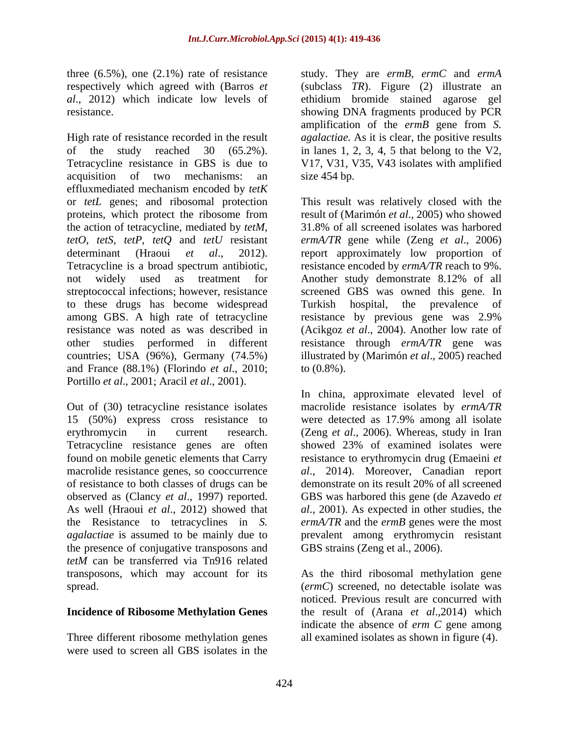High rate of resistance recorded in the result *agalactiae.* As it is clear, the positive results of the study reached 30 (65.2%). in lanes 1, 2, 3, 4, 5 that belong to the V2, Tetracycline resistance in GBS is due to V17, V31, V35, V43 isolates with amplified acquisition of two mechanisms: an effluxmediated mechanism encoded by *tetK*  or *tetL* genes; and ribosomal protection This result was relatively closed with the proteins, which protect the ribosome from result of (Marimón *et al*., 2005) who showed the action of tetracycline, mediated by *tetM*, *tetO*, *tetS*, *tetP*, *tetQ* and *tetU* resistant *ermA/TR* gene while (Zeng *et al*., 2006) determinant (Hraoui *et al*.,2012). report approximately low proportion of Tetracycline is a broad spectrum antibiotic, resistance encoded by *ermA/TR* reach to 9%. not widely used as treatment for Another study demonstrate 8.12% of all streptococcal infections; however, resistance screened GBS was owned this gene. In to these drugs has become widespread among GBS. A high rate of tetracycline resistance by previous gene was 2.9% resistance was noted as was described in (Acikgoz *et al*., 2004). Another low rate of other studies performed in different resistance through *ermA/TR* gene was countries; USA  $(96\%)$ , Germany  $(74.5\%)$ and France (88.1%) (Florindo *et al*., 2010 Portillo *et al.*, 2001; Aracil *et al.*, 2001).

Out of (30) tetracycline resistance isolates macrolide resistance isolates by *ermA/TR*  15 (50%) express cross resistance to were detected as 17.9% among all isolate erythromycin in current research. (Zeng *et al*., 2006). Whereas, study in Iran Tetracycline resistance genes are often showed 23% of examined isolates were found on mobile genetic elements that Carry resistance to erythromycin drug (Emaeini *et*  macrolide resistance genes, so cooccurrence *al*., 2014). Moreover, Canadian report of resistance to both classes of drugs can be observed as (Clancy *et al*., 1997) reported. As well (Hraoui *et al*., 2012) showed that *al*., 2001). As expected in other studies, the the Resistance to tetracyclines in *S. ermA/TR* and the *ermB* genes were the most *agalactiae* is assumed to be mainly due to prevalent among erythromycin resistant the presence of conjugative transposons and *tetM* can be transferred via Tn916 related transposons, which may account for its As the third ribosomal methylation gene

### **Incidence of Ribosome Methylation Genes**

Three different ribosome methylation genes all examined isolates as shown in figure (4).were used to screen all GBS isolates in the

three (6.5%), one (2.1%) rate of resistance study. They are *ermB*, *ermC* and *ermA*  respectively which agreed with (Barros *et*  (subclass *TR*). Figure (2) illustrate an *al*., 2012) which indicate low levels of ethidium bromide stained agarose gel resistance. showing DNA fragments produced by PCR amplification of the *ermB* gene from *S.*  size 454 bp.

> 31.8% of all screened isolates was harbored Another study demonstrate 8.12% of all Turkish hospital, the prevalence of illustrated by (Marimón *et al*., 2005) reached to  $(0.8\%)$ .

In china, approximate elevated level of demonstrate on its result 20% of all screened GBS was harbored this gene (de Azavedo *et*  GBS strains (Zeng et al., 2006).

spread. (*ermC*) screened, no detectable isolate was noticed. Previous result are concurred with the result of (Arana *et al*.,2014) which indicate the absence of *erm C* gene among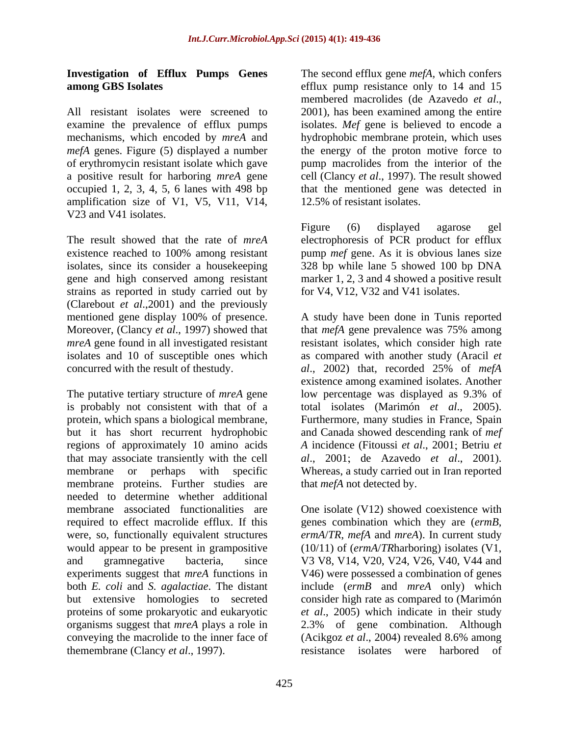# **Investigation of Efflux Pumps Genes**

All resistant isolates were screened to 2001), has been examined among the entire occupied 1, 2, 3, 4, 5, 6 lanes with 498 bp amplification size of V1, V5, V11, V14, V23 and V41 isolates.

The result showed that the rate of *mreA*  electrophoresis of PCR product for efflux existence reached to 100% among resistant pump mef gene. As it is obvious lanes size isolates, since its consider a housekeeping 328 bp while lane 5 showed 100 bp DNA gene and high conserved among resistant marker 1, 2, 3 and 4 showed a positive result strains as reported in study carried out by (Clarebout *et al*.,2001) and the previously concurred with the result of thestudy. al., 2002) that, recorded 25% of mefA

The putative tertiary structure of *mreA* gene low percentage was displayed as 9.3% of is probably not consistent with that of a total isolates (Marimón *et al*., 2005). protein, which spans a biological membrane, Furthermore, many studies in France, Spain<br>but it has short recurrent hydrophobic and Canada showed descending rank of *mef* regions of approximately 10 amino acids A incidence (Fitoussi *et al.*, 2001; Betriu *et* that may associate transiently with the cell membrane or perhaps with specific Whereas, a study carried out in Iran reported membrane proteins. Further studies are needed to determine whether additional required to effect macrolide efflux. If this were, so, functionally equivalent structures both *E. coli* and *S. agalactiae*. The distant conveying the macrolide to the inner face of (Acikgoz *et al.*, 2004) revealed 8.6% among themembrane (Clancy *et al*., 1997). resistance isolates were harbored of

**among GBS Isolates** efflux pump resistance only to 14 and 15 examine the prevalence of efflux pumps isolates. Mef gene is believed to encode a mechanisms, which encoded by *mreA* and hydrophobic membrane protein, which uses *mefA* genes. Figure (5) displayed a number the energy of the proton motive force to of erythromycin resistant isolate which gave  $\qquad$  pump macrolides from the interior of the a positive result for harboring *mreA* gene cell (Clancy *et al*., 1997). The result showed The second efflux gene *mefA,* which confers membered macrolides (de Azavedo *et al*., 2001), has been examined among the entire that the mentioned gene was detected in 12.5% of resistant isolates.

> Figure (6) displayed agarose gel pump *mef* gene. As it is obvious lanes size for V4, V12, V32 and V41 isolates.

mentioned gene display 100% of presence. A study have been done in Tunis reported Moreover, (Clancy *et al*., 1997) showed that that *mefA* gene prevalence was 75% among *mreA* gene found in all investigated resistant resistant isolates, which consider high rate isolates and 10 of susceptible ones which as compared with another study (Aracil *et al*., 2002) that, recorded 25% of *mefA*  existence among examined isolates. Another low percentage was displayed as 9.3% of Furthermore, many studies in France, Spain and Canada showed descending rank of *mef al.*, 2001; de Azavedo *et al.*, 2001). that *mefA* not detected by.

membrane associated functionalities are One isolate (V12) showed coexistence with would appear to be present in grampositive (10/11) of (*ermA*/*TR*harboring) isolates (V1, and gramnegative bacteria, since V3 V8, V14, V20, V24, V26, V40, V44 and experiments suggest that *mreA* functions in V46) were possessed a combination of genes but extensive homologies to secreted consider high rate as compared to (Marimón proteins of some prokaryotic and eukaryotic *et al*., 2005) which indicate in their study organisms suggest that *mreA* plays a role in 2.3% of gene combination. Although genes combination which they are (*ermB*, *ermA*/*TR*, *mefA* and *mreA*). In current study include (*ermB* and *mreA* only) which (Acikgoz *et al*., 2004) revealed 8.6% among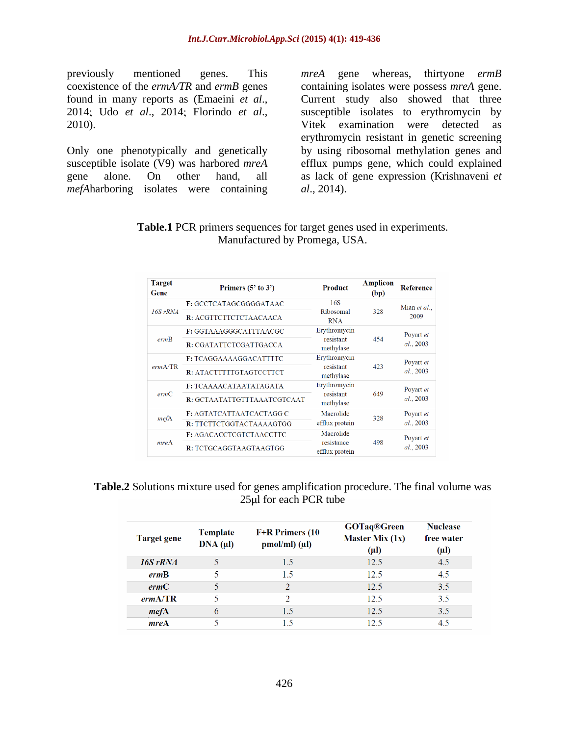previously mentioned genes. This *mreA* gene whereas, thirtyone *ermB* 

Only one phenotypically and genetically *mefAharboring* isolates were containing al., 2014).

coexistence of the *ermA/TR* and *ermB* genes containing isolates were possess *mreA* gene. found in many reports as (Emaeini *et al.*, Current study also showed that three<br>2014; Udo *et al.*, 2014; Florindo *et al.*, susceptible isolates to erythromycin by<br>2010). Vitek examination were detected as susceptible isolate (V9) was harbored *mreA*  efflux pumps gene, which could explained gene alone. On other hand, all as lack of gene expression (Krishnaveni *et*  Current study also showed that three susceptible isolates to erythromycin by Vitek examination were detected as erythromycin resistant in genetic screening by using ribosomal methylation genes and *al*., 2014).

**Table.1** PCR primers sequences for target genes used in experiments. Manufactured by Promega, USA.

| <b>Target</b><br>Gene | Primers $(5'$ to $3')$          | <b>Product</b>               | <b>Amplicon</b><br>(bp) | <b>Reference</b>       |
|-----------------------|---------------------------------|------------------------------|-------------------------|------------------------|
| $16S$ rRNA            | <b>F:</b> GCCTCATAGCGGGGATAAC   | 16S                          | 328                     | Mian et al.,<br>2009   |
|                       | R: ACGTTCTTCTCTAACAACA          | Ribosomal<br><b>RNA</b>      |                         |                        |
| ermB                  | F: GGTAAAGGGCATTTAACGC          | Erythromycin                 | 454                     | Poyart et<br>al., 2003 |
|                       | R: CGATATTCTCGATTGACCA          | resistant<br>methylase       |                         |                        |
| ermA/TR               | F: TCAGGAAAAGGACATTTTC          | Erythromycin                 | 423                     | Poyart et<br>al., 2003 |
|                       | R: ATACTTTTTGTAGTCCTTCT         | resistant<br>methylase       |                         |                        |
| ermC                  | F: TCAAAACATAATATAGATA          | Erythromycin                 | 649                     | Poyart et<br>al., 2003 |
|                       | R: GCTAATATTGTTTAAATCGTCAAT     | resistant<br>methylase       |                         |                        |
| mefA                  | <b>F: AGTATCATTAATCACTAGG C</b> | Macrolide                    | 328                     | Poyart et              |
|                       | R: TTCTTCTGGTACTAAAAGTGG        | efflux protein               |                         | al., 2003              |
| mreA                  | <b>F: AGACACCTCGTCTAACCTTC</b>  | Macrolide                    |                         | Poyart et              |
|                       | R: TCTGCAGGTAAGTAAGTGG          | resistance<br>efflux protein | 498                     | al., 2003              |

**Table.2** Solutions mixture used for genes amplification procedure. The final volume was  $25\mu$  for each PCR tube

| Target gene | <b>Template</b><br>DNA (µl) | F+R Primers (10<br>$pmol/ml)$ ( $\mu$ l) | <b>GOTaq®Green</b><br>Master Mix $(1x)$<br>$(\mu l)$ | <b>Nuclease</b><br>free water<br>$(\mu l)$ |
|-------------|-----------------------------|------------------------------------------|------------------------------------------------------|--------------------------------------------|
| $16S$ rRNA  | 5                           | 1.5                                      | 12.5                                                 | 4.5                                        |
| ermB        | 5                           | 15                                       | 12.5                                                 | 4.5                                        |
| ermC        |                             | ∍                                        | 12.5                                                 | 3.5                                        |
| ermA/TR     | 5                           | $\mathcal{D}$                            | 12.5                                                 | 3.5                                        |
| mefA        | 6                           | 1.5                                      | 12.5                                                 | 3.5                                        |
| mreA        |                             | 15                                       | 12.5                                                 | 4.5                                        |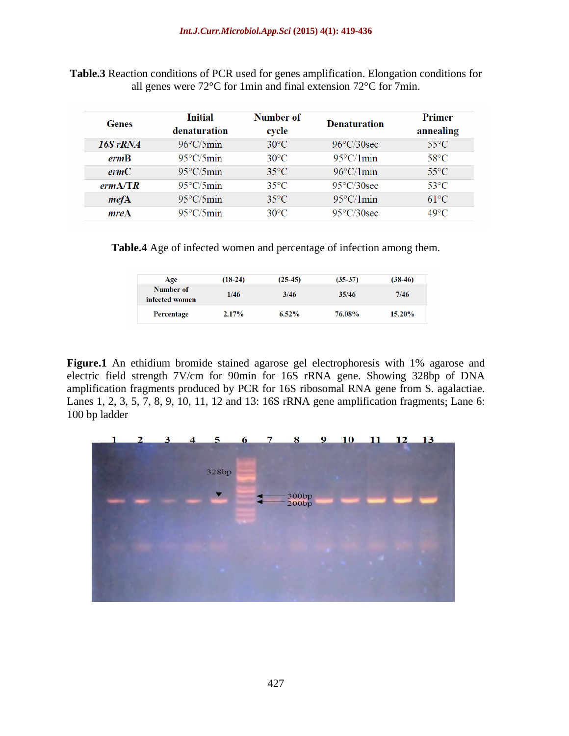| Genes    | <b>Initial</b><br>denaturation | Number of<br>cycle | <b>Denaturation</b>  | Primer<br>annealing |  |
|----------|--------------------------------|--------------------|----------------------|---------------------|--|
| 16S rRNA | $96^{\circ}$ C/5min            | $30^{\circ}$ C     | $96^{\circ}$ C/30sec | $55^{\circ}$ C      |  |
| ermB     | $95^{\circ}$ C/5min            | $30^{\circ}$ C     | $95^{\circ}$ C/1min  | 58°C                |  |
| ermC     | $95^{\circ}$ C/5min            | $35^{\circ}$ C     | $96^{\circ}$ C/1 min | $55^{\circ}$ C      |  |
| ermA/TR  | $95^{\circ}$ C/5min            | $35^{\circ}$ C     | $95^{\circ}$ C/30sec | $53^{\circ}$ C      |  |
| mefA     | $95^{\circ}$ C/5min            | $35^{\circ}$ C     | $95^{\circ}$ C/1 min | $61^{\circ}$ C      |  |
| mreA     | $95^{\circ}$ C/5min            | $30^{\circ}$ C     | $95^{\circ}$ C/30sec | $49^{\circ}$ C      |  |

**Table.3** Reaction conditions of PCR used for genes amplification. Elongation conditions for all genes were 72°C for 1min and final extension 72°C for 7min.

**Table.4** Age of infected women and percentage of infection among them.

| Age                         | $(18-24)$ | $(25-45)$ | $(35-37)$ | $(38-46)$ |
|-----------------------------|-----------|-----------|-----------|-----------|
| Number of<br>infected women | 1/46      | 3/46      | 35/46     | 7/46      |
| Percentage                  | $2.17\%$  | $6.52\%$  | 76.08%    | $15.20\%$ |

Figure.1 An ethidium bromide stained agarose gel electrophoresis with 1% agarose and electric field strength 7V/cm for 90min for 16S rRNA gene. Showing 328bp of DNA amplification fragments produced by PCR for 16S ribosomal RNA gene from S. agalactiae. Lanes 1, 2, 3, 5, 7, 8, 9, 10, 11, 12 and 13: 16S rRNA gene amplification fragments; Lane 6: 100 bp ladder

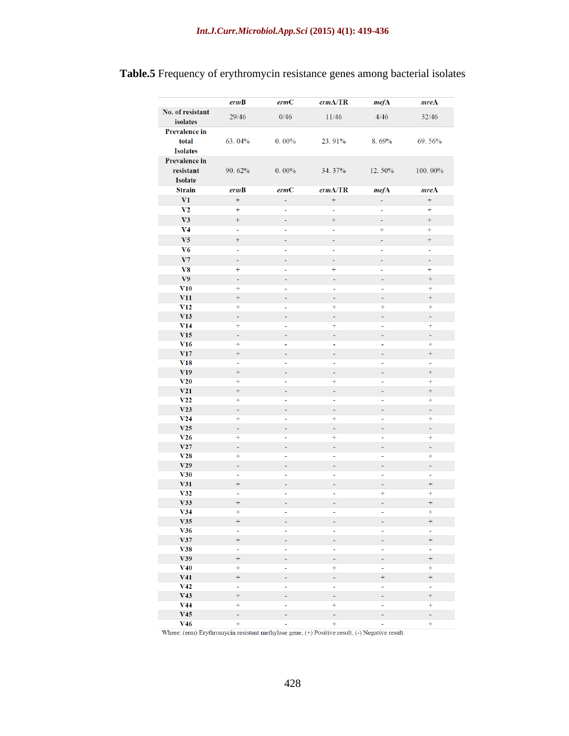## **Table.5** Frequency of erythromycin resistance genes among bacterial isolates

|                                                  | ermB                                | ermC                 | ermA/TR                       | mefA           | mreA                                |
|--------------------------------------------------|-------------------------------------|----------------------|-------------------------------|----------------|-------------------------------------|
| No. of resistant<br>isolates                     | 29/46                               | 0/46                 | 11/46                         | 4/46           | 32/46                               |
| <b>Prevalence in</b><br>total<br><b>Isolates</b> | 63.04%                              | $0.00\%$             | 23.91%                        | 8.69%          | 69.56%                              |
| <b>Prevalence in</b><br>resistant<br>Isolate     | 90.62%                              | $0.00\%$             | 34.37%                        | 12.50%         | 100.00%                             |
| <b>Strain</b>                                    | ermB                                | ermC                 | ermA/TR                       | mefA           | mreA                                |
| V1                                               | $\ddot{}$                           | $\blacksquare$       | $^{+}$                        | ä,             | $^{+}$                              |
| V <sub>2</sub>                                   | $+$                                 | ÷,                   | ä,                            | $\blacksquare$ | $+$                                 |
| V3                                               | $+$                                 | ٠                    | $^{+}$                        | ÷,             | $^{+}$                              |
| V <sub>4</sub>                                   | Ξ                                   | ÷,                   | ä,                            | $+$            | $+$                                 |
| V <sub>5</sub>                                   |                                     | ÷,                   | Ξ                             | ä,             | $\ddag$                             |
| V <sub>6</sub>                                   | ä,                                  | Ξ                    | ä,                            | $\blacksquare$ | $\blacksquare$                      |
| V7                                               | Ξ                                   | ٠                    | ä,                            | ٠              | ÷,                                  |
| V8                                               | $^{+}$                              | $\blacksquare$       | $+$                           | $\sim$         | $^{+}$                              |
| V <sub>9</sub>                                   | Ξ                                   | $\bar{\phantom{a}}$  | ÷,                            | ä,             | $\! + \!\!\!\!$                     |
| V10                                              | $+$                                 | ä,                   | ä,                            | ä,             | $+$                                 |
| V11                                              | $+$                                 | ÷                    | Ξ                             | $\blacksquare$ | $+$                                 |
| V12                                              | $+$                                 | ÷,                   | $+$                           | $\ddot{}$      | $+$                                 |
| V13                                              | $\blacksquare$                      | ÷                    | $\blacksquare$                | ÷,             | ä,                                  |
| V14                                              | $+$                                 | ۰                    | $+$                           | ۰              | $+$                                 |
| V15                                              | ä,                                  | ä,                   | ä,                            | ä,             | ä,                                  |
| V16                                              | $+$                                 | ÷,                   | $\blacksquare$                | ÷,             | $+$                                 |
| V17                                              | $\qquad \qquad +$<br>$\blacksquare$ | ÷                    | ٠                             | -              | $\qquad \qquad +$<br>$\blacksquare$ |
| V18<br>V19                                       | $+$                                 | ٠<br>÷,              | ÷<br>$\blacksquare$           | ۰<br>÷,        | $+$                                 |
| V20                                              |                                     | Ξ                    | $+$                           | -              | $+$                                 |
| V21                                              | $\boldsymbol{+}$                    | -                    | Ξ                             | ÷,             | $\qquad \qquad +$                   |
| V22                                              | $+$                                 | Ξ                    | $\blacksquare$                | Ξ              | $+$                                 |
| V23                                              | ä,                                  | ÷,                   | $\overline{\phantom{a}}$      | ٠              | Ξ                                   |
| V24                                              | $+$                                 | $\blacksquare$       | $+$                           | ÷              | $+$                                 |
| V25                                              | $\blacksquare$                      | ÷,                   | ÷,                            | ÷,             | Ξ                                   |
| V <sub>26</sub>                                  | $\ddot{}$                           | ٠                    | $\pm$                         | ۰              | $+$                                 |
| V27                                              | Ξ                                   | ٠                    | Ξ                             | ٠              | ä,                                  |
| V28                                              | $\ddot{}$                           | ÷,                   | $\blacksquare$                | ÷,             | $+$                                 |
| V29                                              | $\blacksquare$                      | ÷,                   | $\overline{\phantom{a}}$      | ÷              | $\blacksquare$                      |
| V30<br>V31                                       | ۰<br>$+$                            | ٠                    | $\overline{\phantom{a}}$      | ÷<br>÷,        | Ξ<br>$^{+}$                         |
| V32                                              | $\blacksquare$                      | ÷,<br>$\blacksquare$ | $\overline{\phantom{a}}$<br>Ξ | $+$            | $+$                                 |
| V33                                              | $\qquad \qquad +$                   | ÷,                   | $\overline{\phantom{a}}$      | ÷              | $\boldsymbol{+}$                    |
| V34                                              | $+$                                 |                      |                               |                | $+$                                 |
| V35                                              | $^{+}$                              | ÷,                   | ÷                             | ÷,             | $^{+}$                              |
| V36                                              | $\blacksquare$                      | ÷                    | $\overline{\phantom{0}}$      | ÷              | ÷,                                  |
| V37                                              | $\ddot{}$                           | ۰                    | -                             | -              | $^{+}$                              |
| V38                                              | Ξ                                   | ÷                    | ÷                             | ÷              | Ξ                                   |
| V39                                              | $^{+}$                              | ۳                    | ÷,                            | ٠              | $^{+}$                              |
| V40                                              | $+$                                 | ۰                    | $^{+}$                        | ۰              | $^{+}$                              |
| V41                                              | $\ddot{}$                           | ۰                    | $\overline{a}$                | $^{+}$         | $^{+}$                              |
| V42                                              | Ξ                                   | ÷                    | ÷,                            | ÷              | Ξ                                   |
| V <sub>43</sub>                                  | $^{+}$                              | ۰                    | ÷                             | ۰              | $\hspace{0.1mm} + \hspace{0.1mm}$   |
| V44<br>V45                                       | $\ddot{}$<br>۰                      | ÷,<br>۰              | $\ddot{}$                     | ÷,<br>۰        | $+$                                 |
| V46                                              | $+$                                 | ÷                    | ۰<br>$+$                      | ÷              | ۰<br>$+$                            |
|                                                  |                                     |                      |                               |                |                                     |

Where: (erm) Erythromycin resistant methylase gene,  $(+)$  Positive result,  $(-)$  Negative result.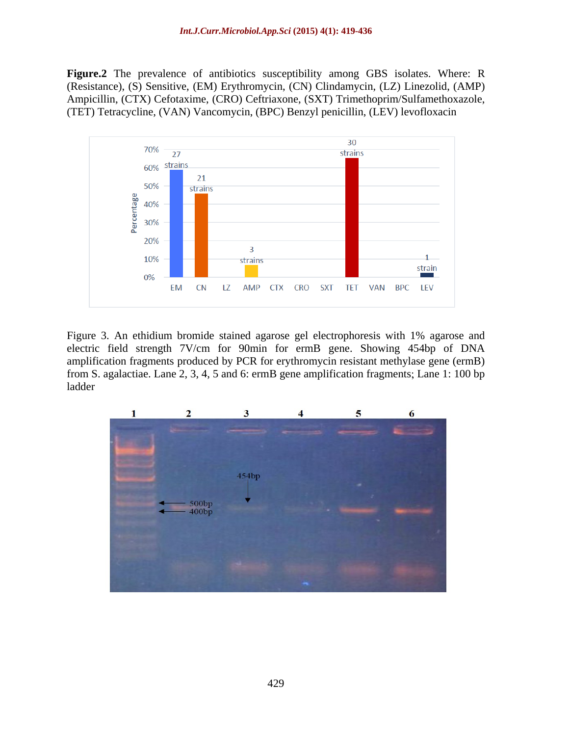**Figure.2** The prevalence of antibiotics susceptibility among GBS isolates. Where: R (Resistance), (S) Sensitive, (EM) Erythromycin, (CN) Clindamycin, (LZ) Linezolid, (AMP) Ampicillin, (CTX) Cefotaxime, (CRO) Ceftriaxone, (SXT) Trimethoprim/Sulfamethoxazole, (TET) Tetracycline, (VAN) Vancomycin, (BPC) Benzyl penicillin, (LEV) levofloxacin



Figure 3. An ethidium bromide stained agarose gel electrophoresis with 1% agarose and electric field strength 7V/cm for 90min for ermB gene. Showing 454bp of DNA amplification fragments produced by PCR for erythromycin resistant methylase gene (ermB) from S. agalactiae. Lane 2, 3, 4, 5 and 6: ermB gene amplification fragments; Lane 1: 100 bp ladder

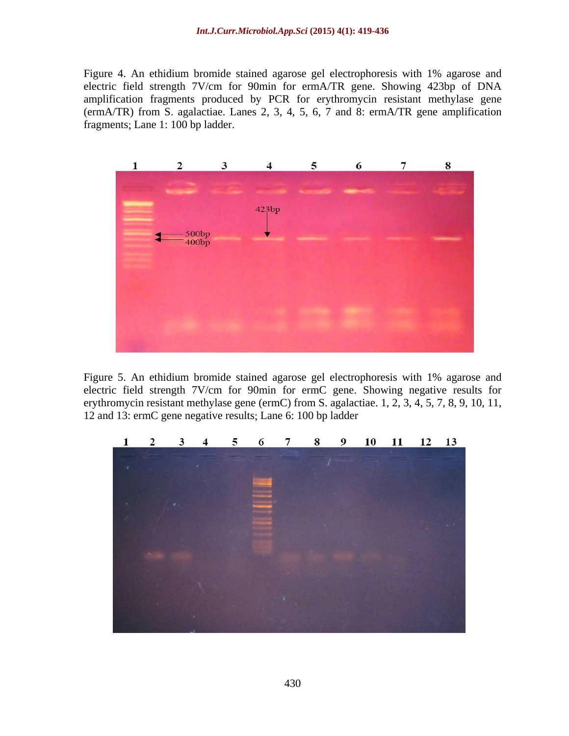Figure 4. An ethidium bromide stained agarose gel electrophoresis with 1% agarose and electric field strength 7V/cm for 90min for ermA/TR gene. Showing 423bp of DNA amplification fragments produced by PCR for erythromycin resistant methylase gene (ermA/TR) from S. agalactiae. Lanes 2, 3, 4, 5, 6, 7 and 8: ermA/TR gene amplification fragments; Lane 1: 100 bp ladder.



Figure 5. An ethidium bromide stained agarose gel electrophoresis with 1% agarose and electric field strength 7V/cm for 90min for ermC gene. Showing negative results for erythromycin resistant methylase gene (ermC) from S. agalactiae. 1, 2, 3, 4, 5, 7, 8, 9, 10, 11, 12 and 13: ermC gene negative results; Lane 6: 100 bp ladder

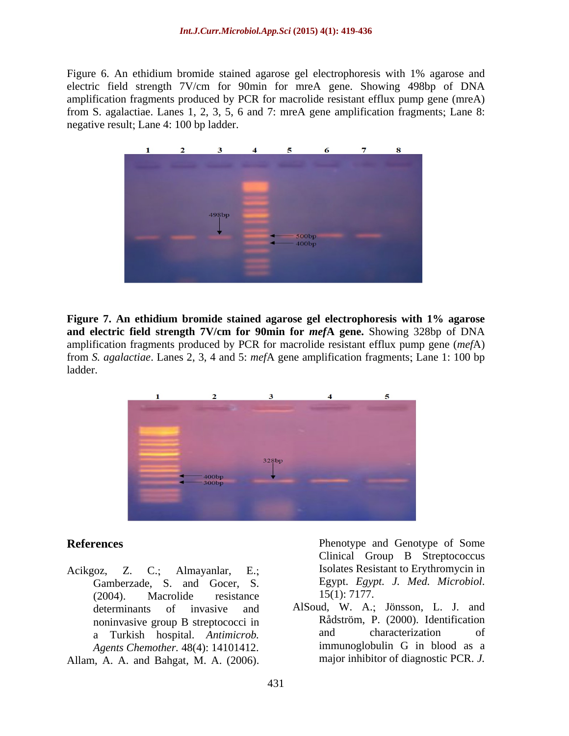Figure 6. An ethidium bromide stained agarose gel electrophoresis with 1% agarose and electric field strength 7V/cm for 90min for mreA gene. Showing 498bp of DNA amplification fragments produced by PCR for macrolide resistant efflux pump gene (mreA) from S. agalactiae. Lanes  $1, 2, 3, 5, 6$  and  $7:$  mreA gene amplification fragments; Lane 8: negative result; Lane 4: 100 bp ladder.



**Figure 7. An ethidium bromide stained agarose gel electrophoresis with 1% agarose and electric field strength 7V/cm for 90min for** *mef***A gene.** Showing 328bp of DNA amplification fragments produced by PCR for macrolide resistant efflux pump gene (*mef*A) from *S. agalactiae*. Lanes 2, 3, 4 and 5: *mef*A gene amplification fragments; Lane 1: 100 bp ladder. **In the contract of the contract of the contract of the contract of the contract of the contract of the contract of the contract of the contract of the contract of the contract of the contract of the contract of th** 



Acikgoz, Z. C.; Almayanlar, E.; Isolates Resistant to Erythromycin in Gamberzade, S. and Gocer, S. Egypt. Egypt. Egypt. 2004) Macrolide resistance 15(1): 7177.  $(2004)$ . Macrolide resistance  $15(1)$ : 7177. a Turkish hospital. *Antimicrob. Agents Chemother.* 48(4): 14101412. **References** Phenotype and Genotype of Some<br>
Clinical Group B Streptococcus<br>
Acikgoz, Z. C.; Almayanlar, E.; Isolates Resistant to Erythromycin in<br>
Gamberzade, S. and Gocer, S. Egypt. *Egypt. J. Med. Microbiol.*<br>
(2004). M

**References** Phenotype and Genotype of Some Clinical Group B Streptococcus Egypt. *Egypt. J. Med. Microbiol.* 

determinants of invasive and AlSoud, W. A.; Jönsson, L. J. and noninvasive group B streptococci in Rădström, P. (2000). Identification<br>a Turkish hospital *Antimicrob* and characterization of Rådström, P. (2000). Identification and characterization of immunoglobulin G in blood as a major inhibitor of diagnostic PCR. *J.*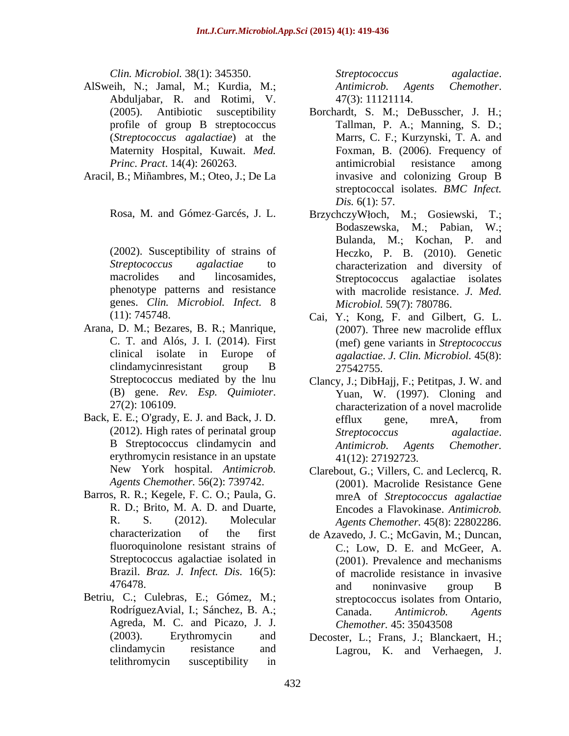- AlSweih, N.; Jamal, M.; Kurdia, M.; *Antimicrob. Agents Chemother.* Abduljabar, R. and Rotimi, V.
- Aracil, B.; Miñambres, M.; Oteo, J.; De La

genes. *Clin. Microbiol. Infect.* 8

- Arana, D. M.; Bezares, B. R.; Manrique,
- Back, E. E.; O'grady, E. J. and Back, J. D. efflux gene, mreA, from erythromycin resistance in an upstate
- Barros, R. R.; Kegele, F. C. O.; Paula, G. R. D.; Brito, M. A. D. and Duarte, Streptococcus agalactiae isolated in Brazil. *Braz. J. Infect. Dis.* 16(5):
- Agreda, M. C. and Picazo, J. J. Chemother. 45: 35043508 telithromycin susceptibility in

*Clin. Microbiol.* 38(1): 345350. *Streptococcus agalactiae*. *Antimicrob. Agents Chemother*. 47(3): 11121114.

- (2005). Antibiotic susceptibility Borchardt, S. M.; DeBusscher, J. H.; profile of group B streptococcus Tallman, P. A.; Manning, S. D.; (*Streptococcus agalactiae*) at the Marrs, C. F.; Kurzynski, T. A. and Maternity Hospital, Kuwait. *Med.*  Foxman, B. (2006). Frequency of *Princ. Pract.* 14(4): 260263. **antimicrobial** resistance among antimicrobial resistance among invasive and colonizing Group B streptococcal isolates. *BMC Infect. Dis.* 6(1): 57.
- Rosa, M. and Gómez-Garcés, J. L. Brzychczy Włoch, M.; Gosiewski, T.; (2002). Susceptibility of strains of Heczko, P. B. (2010). Genetic *Streptococcus agalactiae* to characterization and diversity of macrolides and lincosamides, Streptococcus agalactiae isolates phenotype patterns and resistance with macrolide resistance. *J. Med.* BrzychczyWłoch, M.; Gosiewski, T.; Bodaszewska, M.; Pabian, W.; Bulanda, M.; Kochan, P. and *Microbiol.* 59(7): 780786.
- (11): 745748. Cai, Y. Kong, F. and Gilbert, G. L. C. T. and Alós, J. I. (2014). First (mef) gene variants in *Streptococcus*  clinical isolate in Europe of *agalactiae*. *J. Clin. Microbiol.* 45(8): clindamycinresistant group B 27542755. (2007). Three new macrolide efflux 27542755.
- Streptococcus mediated by the lnu Clancy, J.; DibHajj, F.; Petitpas, J. W. and (B) gene. *Rev. Esp. Quimioter*. 27(2): 106109. characterization of a novel macrolide (2012). High rates of perinatal group Streptococcus agalactiae. B Streptococcus clindamycin and *Antimicrob*. Agents Chemother. Yuan, W. (1997). Cloning and efflux gene, mreA, from *Streptococcus agalactiae*. *Antimicrob. Agents Chemother.* 41(12): 27192723.
- New York hospital. *Antimicrob*. Clarebout, G.; Villers, C. and Leclercq, R. *Agents Chemother.* 56(2): 739742. (2001). Macrolide Resistance Gene R. S. (2012). Molecular *Agents Chemother.* 45(8): 22802286. mreA of *Streptococcus agalactiae* Encodes a Flavokinase. *Antimicrob.*
- characterization of the first de Azavedo, J. C.; McGavin, M.; Duncan, fluoroquinolone resistant strains of C.; Low, D. E. and McGeer, A. 476478. B and noninvasive group B Betriu, C.; Culebras, E.; Gómez, M.; streptococcus isolates from Ontario. RodríguezAvial, I.; Sánchez, B. A.; Canada. Antimicrob. Agents (2001). Prevalence and mechanisms of macrolide resistance in invasive and noninvasive group B streptococcus isolates from Ontario, Canada. *Antimicrob. Agents Chemother.* 45: 35043508
	- (2003). Erythromycin and Decoster, L.; Frans, J.; Blanckaert, H.; clindamycin resistance and Lagrou, K. and Verhaegen, J.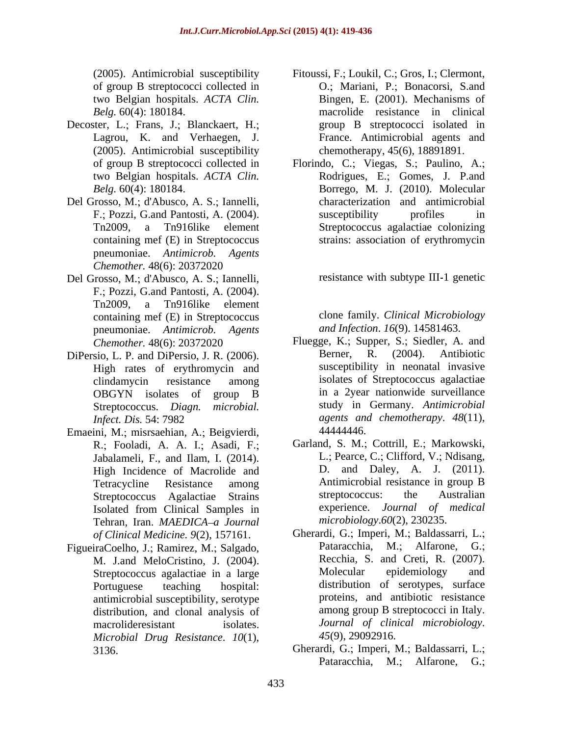- Decoster, L.; Frans, J.; Blanckaert, H.; Lagrou, K. and Verhaegen, J. (2005). Antimicrobial susceptibility
- Del Grosso, M.; d'Abusco, A. S.; Iannelli, containing mef (E) in Streptococcus pneumoniae. *Antimicrob. Agents Chemother.* 48(6): 20372020
- Del Grosso, M.; d'Abusco, A. S.; Iannelli, F.; Pozzi, G.and Pantosti, A. (2004). Tn2009, a Tn916like element containing mef (E) in Streptococcus pneumoniae. *Antimicrob. Agents*
- High rates of erythromycin and
- Emaeini, M.; misrsaehian, A.; Beigvierdi, 44444446. R.; Fooladi, A. A. I.; Asadi, F.; Jabalameli, F., and Ilam, I. (2014). High Incidence of Macrolide and Tehran, Iran. *MAEDICA a Journal*
- Streptococcus agalactiae in a large antimicrobial susceptibility, serotype distribution, and clonal analysis of *Microbial Drug Resistance*. *10*(1),
- (2005). Antimicrobial susceptibility Fitoussi, F.; Loukil, C.; Gros, I.; Clermont, of group B streptococci collected in C.; Mariani, P.; Bonacorsi, S.and two Belgian hospitals. *ACTA Clin.* Bingen, E. (2001). Mechanisms of *Belg.* 60(4): 180184. macrolide resistance in clinical group B streptococci isolated in France. Antimicrobial agents and chemotherapy, 45(6), 18891891.
- of group B streptococci collected in Florindo, C.; Viegas, S.; Paulino, A.; two Belgian hospitals. *ACTA Clin.* Rodrigues, E.; Gomes, J. P.and *Belg.* 60(4): 180184. Borrego, M. J. (2010). Molecular F.; Pozzi, G.and Pantosti, A. (2004). Susceptibility profiles in Tn2009, a Tn916like element Streptococcus agalactiae colonizing characterization and antimicrobial susceptibility profiles in strains: association of erythromycin

resistance with subtype III-1 genetic

clone family. *Clinical Microbiology and Infection*. *16*(9). 14581463.

- *Chemother.* 48(6): 20372020 **Fluegge, K.; Supper, S.; Siedler, A. and** DiPersio, L. P. and DiPersio, J. R. (2006). Berner, R. (2004). Antibiotic clindamycin resistance among OBGYN isolates of group B in a 2year nationwide surveillance Streptococcus. *Diagn. microbial.* study in Germany. *Antimicrobial Infect. Dis.* 54: 7982 *agents and chemotherapy*. *48*(11), Berner, R. (2004). Antibiotic susceptibility in neonatal invasive isolates of Streptococcus agalactiae in a 2year nationwide surveillance 44444446.
	- Tetracycline Resistance among Antimicrobial resistance in group B Streptococcus Agalactiae Strains streptococcus: the Australian Isolated from Clinical Samples in experience. Journal of medical Garland, S. M.; Cottrill, E.; Markowski, L.; Pearce, C.; Clifford, V.; Ndisang, D. and Daley, A. J. (2011). streptococcus: the Australian experience. *Journal of medical microbiology*.*60*(2), 230235.
- of Clinical Medicine. 9(2), 157161. **Gherardi, G.; Imperi, M.; Baldassarri, L.**; FigueiraCoelho, J.; Ramirez, M.; Salgado, Pataracchia, M.; Alfarone, G.; M. J.and MeloCristino, J. (2004). Recchia, S. and Creti, R. (2007).<br>Strentococcus agalactiae in a large Molecular epidemiology and Portuguese teaching hospital: distribution of serotypes, surface macrolideresistant isolates. *Journal of clinical microbiology*. M.; Alfarone, Recchia, S. and Creti, R. (2007). Molecular epidemiology and proteins, and antibiotic resistance among group B streptococci in Italy. *45*(9), 29092916.
	- 3136. **Gherardi, G.; Imperi, M.; Baldassarri, L.;** Pataracchia, M.; Alfarone, G.;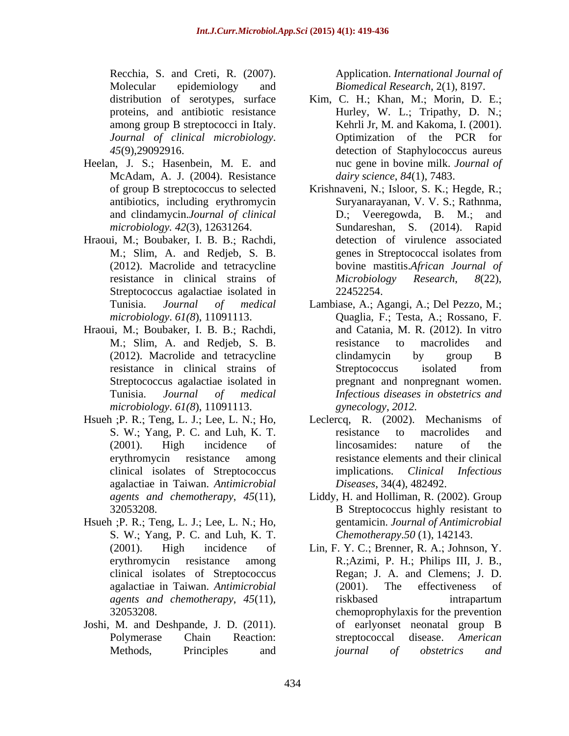Recchia, S. and Creti, R. (2007). Application. *International Journal of* **August** 2007. Molecular epidemiology and *Biomedical Research*, 2(1), 8197. *Journal of clinical microbiology*.

- Heelan, J. S.; Hasenbein, M. E. and McAdam, A. J. (2004). Resistance
- Hraoui, M.; Boubaker, I. B. B.; Rachdi, Streptococcus agalactiae isolated in 22452254.
- Hraoui, M.; Boubaker, I. B. B.; Rachdi, *microbiology*. *61(8*), 11091113.
- agalactiae in Taiwan. *Antimicrobial*
- Hsueh ; P. R.; Teng, L. J.; Lee, L. N.; Ho, S. W.; Yang, P. C. and Luh, K. T.
- Joshi, M. and Deshpande, J. D. (2011).

- distribution of serotypes, surface Kim, C. H.; Khan, M.; Morin, D. E.; proteins, and antibiotic resistance Hurley, W. L.; Tripathy, D. N.; among group B streptococci in Italy. Kehrli Jr, M. and Kakoma, I. (2001). *45*(9),29092916. detection of Staphylococcus aureus Optimization of the PCR for nuc gene in bovine milk. *Journal of dairy science*, *84*(1), 7483.
- of group B streptococcus to selected Krishnaveni, N.; Isloor, S. K.; Hegde, R.; antibiotics, including erythromycin Suryanarayanan, V. V. S.; Rathnma, and clindamycin.*Journal of clinical microbiology. 42*(3), 12631264. Sundareshan, S. (2014). Rapid M.; Slim, A. and Redjeb, S. B. genes in Streptococcal isolates from (2012). Macrolide and tetracycline bovine mastitis.*African Journal of* resistance in clinical strains of *Microbiology Research*, 8(22), D.; Veeregowda, B. M.; detection of virulence associated genes in Streptococcal isolates from *Microbiology Research*, *8*(22), 22452254.
- Tunisia. *Journal of medical* Lambiase, A.; Agangi, A.; Del Pezzo, M.; *microbiology.* 61(8), 11091113. **Quaglia, F.; Testa, A.; Rossano, F.** M.; Slim, A. and Redjeb, S. B. Tesistance to macrolides and (2012). Macrolide and tetracycline clindamycin by group B resistance in clinical strains of Streptococcus agalactiae isolated in pregnant and nonpregnant women. Tunisia. *Journal of medical Infectious diseases in obstetrics and* and Catania, M. R. (2012). In vitro resistance to macrolides and clindamycin by group B Streptococcus isolated from *gynecology*, *2012.*
- Hsueh ; P. R.; Teng, L. J.; Lee, L. N.; Ho, Leclercq, R. (2002). Mechanisms of S. W.; Yang, P. C. and Luh, K. T. The resistance to macrolides and (2001). High incidence of lincosamides: nature of the erythromycin resistance among resistance elements and their clinical clinical isolates of Streptococcus implications. Clinical Infectious resistance to macrolides and lincosamides: nature of the implications. *Clinical Infectious Diseases*, 34(4), 482492.
	- *agents and chemotherapy*, *45*(11), Liddy, H. and Holliman, R. (2002). Group 32053208. B Streptococcus highly resistant to gentamicin. *Journal of Antimicrobial Chemotherapy*.*50* (1), 142143.
	- (2001). High incidence of Lin, F. Y. C.; Brenner, R. A.; Johnson, Y. erythromycin resistance among R.;Azimi, P. H.; Philips III, J. B., clinical isolates of Streptococcus Regan; J. A. and Clemens; J. D. agalactiae in Taiwan. *Antimicrobial agents and chemotherapy*, *45*(11), 32053208. chemoprophylaxis for the prevention Polymerase Chain Reaction: streptococcal disease. American Methods, Principles and *journal of obstetrics and* (2001). The effectiveness of riskbased intrapartum of earlyonset neonatal group B streptococcal disease. *American journal of obstetrics and*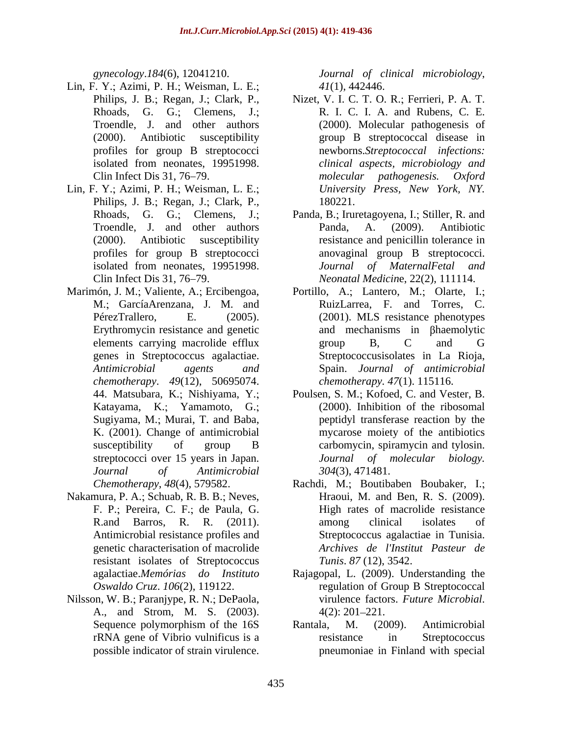- Lin, F. Y.; Azimi, P. H.; Weisman, L. E.;<br>Philips, J. B.; Regan, J.; Clark, P.,
- Lin, F. Y.; Azimi, P. H.; Weisman, L. E.; Philips, J. B.; Regan, J.; Clark, P., 180221.
- Marimón, J. M.; Valiente, A.; Ercibengoa, Portillo, A.; Lantero, M.; Olarte, I.; Erythromycin resistance and genetic *chemotherapy*. *49*(12), 50695074. Katayama, K.; Yamamoto, G.;
- Nakamura, P. A.; Schuab, R. B. B.; Neves, F. P.; Pereira, C. F.; de Paula, G. resistant isolates of Streptococcus
- A., and Strom, M. S. (2003).

*gynecology*.*184*(6), 12041210. *Journal of clinical microbiology*, *41*(1), 442446.

- Philips, J. B.; Regan, J.; Clark, P., Nizet, V. I. C. T. O. R.; Ferrieri, P. A. T. Rhoads, G. G.; Clemens, J.; R. I. C. I. A. and Rubens, C. E. Troendle, J. and other authors (2000). Molecular pathogenesis of (2000). Antibiotic susceptibility group B streptococcal disease in profiles for group B streptococci newborns.*Streptococcal infections:* isolated from neonates, 19951998. clinical aspects, microbiology and Clin Infect Dis 31, 76–79. The *molecular* pathogenesis. Oxford *clinical aspects, microbiology and molecular pathogenesis. Oxford University Press, New York, NY.* 180221.
- Rhoads, G. G.; Clemens, J.; Panda, B.; Iruretagoyena, I.; Stiller, R. and Troendle, J. and other authors Panda, A. (2009). Antibiotic (2000). Antibiotic susceptibility resistance and penicillin tolerance in profiles for group B streptococci anovaginal group B streptococci. isolated from neonates, 19951998. *Journal of MaternalFetal and* Clin Infect Dis 31, 76 79. *Neonatal Medicin*e, 22(2), 111114. Panda, A. (2009). Antibiotic *Journal of MaternalFetal and*
- M. GarcíaArenzana, J. M. and RuizLarrea, F. and Torres, C. PérezTrallero, E. (2005). (2001). MLS resistance phenotypes elements carrying macrolide efflux group B, C and G genes in Streptococcus agalactiae. Streptococcusisolates in La Rioja, *Antimicrobial agents and* Spain. *Journal of antimicrobial* and mechanisms in Bhaemolytic group B, C and G *chemotherapy. 47*(1). 115116.
- 44. Matsubara, K.; Nishiyama, Y.; Poulsen, S. M.; Kofoed, C. and Vester, B. Sugiyama, M.; Murai, T. and Baba, peptidyl transferase reaction by the K. (2001). Change of antimicrobial mycarose moiety of the antibiotics susceptibility of group B carbomycin, spiramycin and tylosin. streptococci over 15 years in Japan. *Journal of molecular biology. Journal of Antimicrobial* (2000). Inhibition of the ribosomal carbomycin, spiramycin and tylosin. *304*(3), 471481.
- *Chemotherapy*, 48(4), 579582. Rachdi, M.; Boutibaben Boubaker, I.; R.and Barros, R. R. (2011). Antimicrobial resistance profiles and Streptococcus agalactiae in Tunisia. genetic characterisation of macrolide *Archives de l'Institut Pasteur de* Hraoui, M. and Ben, R. S. (2009). High rates of macrolide resistance among clinical isolates of *Tunis*. *87* (12), 3542.
- agalactiae.*Memórias do Instituto* Rajagopal, L. (2009). Understanding the *Oswaldo Cruz*. *106*(2), 119122. regulation of Group B Streptococcal Nilsson, W. B.; Paranjype, R. N.; DePaola, virulence factors. Future Microbial. virulence factors. *Future Microbial*. 4(2): 201 221.
	- Sequence polymorphism of the 16S Rantala, M. (2009). Antimicrobial rRNA gene of Vibrio vulnificus is a possible indicator of strain virulence. pneumoniae in Finland with specialRantala, M. (2009). Antimicrobial resistance in Streptococcus